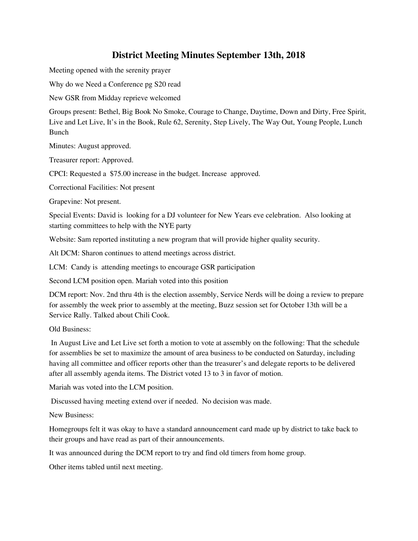## **District Meeting Minutes September 13th, 2018**

Meeting opened with the serenity prayer

Why do we Need a Conference pg S20 read

New GSR from Midday reprieve welcomed

Groups present: Bethel, Big Book No Smoke, Courage to Change, Daytime, Down and Dirty, Free Spirit, Live and Let Live, It's in the Book, Rule 62, Serenity, Step Lively, The Way Out, Young People, Lunch Bunch

Minutes: August approved.

Treasurer report: Approved.

CPCI: Requested a \$75.00 increase in the budget. Increase approved.

Correctional Facilities: Not present

Grapevine: Not present.

Special Events: David is looking for a DJ volunteer for New Years eve celebration. Also looking at starting committees to help with the NYE party

Website: Sam reported instituting a new program that will provide higher quality security.

Alt DCM: Sharon continues to attend meetings across district.

LCM: Candy is attending meetings to encourage GSR participation

Second LCM position open. Mariah voted into this position

DCM report: Nov. 2nd thru 4th is the election assembly, Service Nerds will be doing a review to prepare for assembly the week prior to assembly at the meeting, Buzz session set for October 13th will be a Service Rally. Talked about Chili Cook.

Old Business:

In August Live and Let Live set forth a motion to vote at assembly on the following: That the schedule for assemblies be set to maximize the amount of area business to be conducted on Saturday, including having all committee and officer reports other than the treasurer's and delegate reports to be delivered after all assembly agenda items. The District voted 13 to 3 in favor of motion.

Mariah was voted into the LCM position.

Discussed having meeting extend over if needed. No decision was made.

New Business:

Homegroups felt it was okay to have a standard announcement card made up by district to take back to their groups and have read as part of their announcements.

It was announced during the DCM report to try and find old timers from home group.

Other items tabled until next meeting.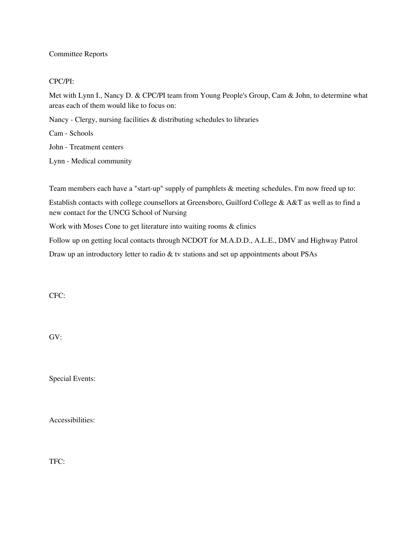## Committee Reports

## CPC/PI:

Met with Lynn I., Nancy D. & CPC/PI team from Young People's Group, Cam & John, to determine what areas each of them would like to focus on:

Nancy - Clergy, nursing facilities & distributing schedules to libraries

Cam - Schools

John - Treatment centers

Lynn - Medical community

Team members each have a "start-up" supply of pamphlets & meeting schedules. I'm now freed up to:

Establish contacts with college counsellors at Greensboro, Guilford College & A&T as well as to find a new contact for the UNCG School of Nursing

Work with Moses Cone to get literature into waiting rooms & clinics

Follow up on getting local contacts through NCDOT for M.A.D.D., A.L.E., DMV and Highway Patrol Draw up an introductory letter to radio & tv stations and set up appointments about PSAs

CFC:

GV:

Special Events:

Accessibilities:

TFC: